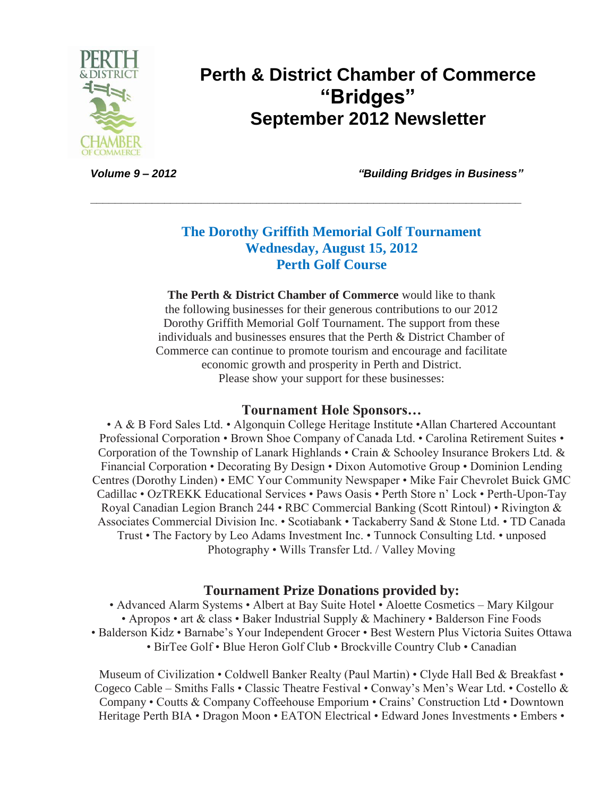

## **Perth & District Chamber of Commerce "Bridges" September 2012 Newsletter**

*Volume 9 – 2012 "Building Bridges in Business"*

### **The Dorothy Griffith Memorial Golf Tournament Wednesday, August 15, 2012 Perth Golf Course**

**\_\_\_\_\_\_\_\_\_\_\_\_\_\_\_\_\_\_\_\_\_\_\_\_\_\_\_\_\_\_\_\_\_\_\_\_\_\_\_\_\_\_\_\_\_\_\_\_\_\_\_\_\_\_\_\_\_\_\_\_\_\_\_\_\_\_\_\_\_\_**

**The Perth & District Chamber of Commerce** would like to thank the following businesses for their generous contributions to our 2012 Dorothy Griffith Memorial Golf Tournament. The support from these individuals and businesses ensures that the Perth & District Chamber of Commerce can continue to promote tourism and encourage and facilitate economic growth and prosperity in Perth and District. Please show your support for these businesses:

#### **Tournament Hole Sponsors…**

• A & B Ford Sales Ltd. • Algonquin College Heritage Institute • Allan Chartered Accountant Professional Corporation • Brown Shoe Company of Canada Ltd. • Carolina Retirement Suites • Corporation of the Township of Lanark Highlands • Crain & Schooley Insurance Brokers Ltd. & Financial Corporation • Decorating By Design • Dixon Automotive Group • Dominion Lending Centres (Dorothy Linden) • EMC Your Community Newspaper • Mike Fair Chevrolet Buick GMC Cadillac • OzTREKK Educational Services • Paws Oasis • Perth Store n' Lock • Perth-Upon-Tay Royal Canadian Legion Branch 244 • RBC Commercial Banking (Scott Rintoul) • Rivington & Associates Commercial Division Inc. • Scotiabank • Tackaberry Sand & Stone Ltd. • TD Canada Trust • The Factory by Leo Adams Investment Inc. • Tunnock Consulting Ltd. • unposed Photography • Wills Transfer Ltd. / Valley Moving

#### **Tournament Prize Donations provided by:**

• Advanced Alarm Systems • Albert at Bay Suite Hotel • Aloette Cosmetics – Mary Kilgour • Apropos • art & class • Baker Industrial Supply & Machinery • Balderson Fine Foods • Balderson Kidz • Barnabe's Your Independent Grocer • Best Western Plus Victoria Suites Ottawa • BirTee Golf • Blue Heron Golf Club • Brockville Country Club • Canadian

Museum of Civilization • Coldwell Banker Realty (Paul Martin) • Clyde Hall Bed & Breakfast • Cogeco Cable – Smiths Falls • Classic Theatre Festival • Conway's Men's Wear Ltd. • Costello & Company • Coutts & Company Coffeehouse Emporium • Crains' Construction Ltd • Downtown Heritage Perth BIA • Dragon Moon • EATON Electrical • Edward Jones Investments • Embers •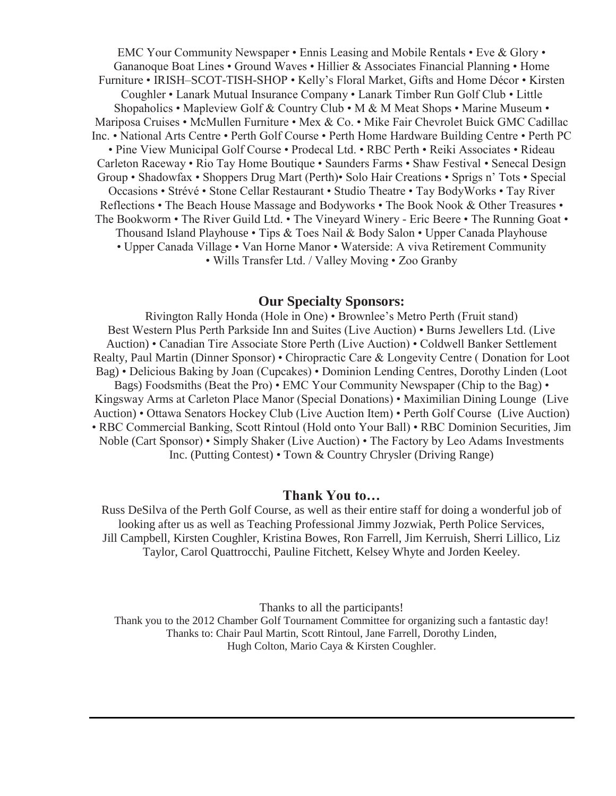EMC Your Community Newspaper • Ennis Leasing and Mobile Rentals • Eve & Glory • Gananoque Boat Lines • Ground Waves • Hillier & Associates Financial Planning • Home Furniture • IRISH–SCOT-TISH-SHOP • Kelly's Floral Market, Gifts and Home Décor • Kirsten Coughler • Lanark Mutual Insurance Company • Lanark Timber Run Golf Club • Little Shopaholics • Mapleview Golf & Country Club • M & M Meat Shops • Marine Museum • Mariposa Cruises • McMullen Furniture • Mex & Co. • Mike Fair Chevrolet Buick GMC Cadillac Inc. • National Arts Centre • Perth Golf Course • Perth Home Hardware Building Centre • Perth PC • Pine View Municipal Golf Course • Prodecal Ltd. • RBC Perth • Reiki Associates • Rideau Carleton Raceway • Rio Tay Home Boutique • Saunders Farms • Shaw Festival • Senecal Design Group • Shadowfax • Shoppers Drug Mart (Perth)• Solo Hair Creations • Sprigs n' Tots • Special Occasions • Strévé • Stone Cellar Restaurant • Studio Theatre • Tay BodyWorks • Tay River Reflections • The Beach House Massage and Bodyworks • The Book Nook & Other Treasures • The Bookworm • The River Guild Ltd. • The Vineyard Winery - Eric Beere • The Running Goat • Thousand Island Playhouse • Tips & Toes Nail & Body Salon • Upper Canada Playhouse • Upper Canada Village • Van Horne Manor • Waterside: A viva Retirement Community • Wills Transfer Ltd. / Valley Moving • Zoo Granby

#### **Our Specialty Sponsors:**

Rivington Rally Honda (Hole in One) • Brownlee's Metro Perth (Fruit stand) Best Western Plus Perth Parkside Inn and Suites (Live Auction) • Burns Jewellers Ltd. (Live Auction) • Canadian Tire Associate Store Perth (Live Auction) • Coldwell Banker Settlement Realty, Paul Martin (Dinner Sponsor) • Chiropractic Care & Longevity Centre ( Donation for Loot Bag) • Delicious Baking by Joan (Cupcakes) • Dominion Lending Centres, Dorothy Linden (Loot Bags) Foodsmiths (Beat the Pro) • EMC Your Community Newspaper (Chip to the Bag) • Kingsway Arms at Carleton Place Manor (Special Donations) • Maximilian Dining Lounge (Live Auction) • Ottawa Senators Hockey Club (Live Auction Item) • Perth Golf Course (Live Auction) • RBC Commercial Banking, Scott Rintoul (Hold onto Your Ball) • RBC Dominion Securities, Jim Noble (Cart Sponsor) • Simply Shaker (Live Auction) • The Factory by Leo Adams Investments Inc. (Putting Contest) • Town & Country Chrysler (Driving Range)

#### **Thank You to…**

Russ DeSilva of the Perth Golf Course, as well as their entire staff for doing a wonderful job of looking after us as well as Teaching Professional Jimmy Jozwiak, Perth Police Services, Jill Campbell, Kirsten Coughler, Kristina Bowes, Ron Farrell, Jim Kerruish, Sherri Lillico, Liz Taylor, Carol Quattrocchi, Pauline Fitchett, Kelsey Whyte and Jorden Keeley.

Thanks to all the participants! Thank you to the 2012 Chamber Golf Tournament Committee for organizing such a fantastic day! Thanks to: Chair Paul Martin, Scott Rintoul, Jane Farrell, Dorothy Linden, Hugh Colton, Mario Caya & Kirsten Coughler.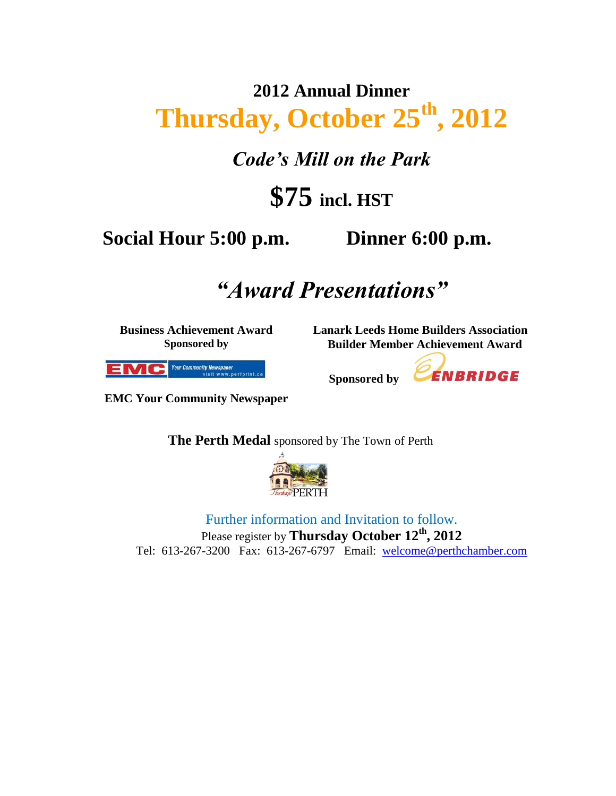# **2012 Annual Dinner Thursday, October 25th, 2012**

*Code's Mill on the Park*

# **\$75 incl. HST**

## **Social Hour 5:00 p.m. Dinner 6:00 p.m.**

## *"Award Presentations"*

**Sponsored by** 

**Business Achievement Award Sponsored by**

**Lanark Leeds Home Builders Association Builder Member Achievement Award**

ENBRIDGE



**EMC Your Community Newspaper**

**The Perth Medal** sponsored by The Town of Perth



Further information and Invitation to follow. Please register by **Thursday October 12th , 2012** Tel: 613-267-3200 Fax: 613-267-6797 Email: [welcome@perthchamber.com](mailto:welcome@perthchamber.com)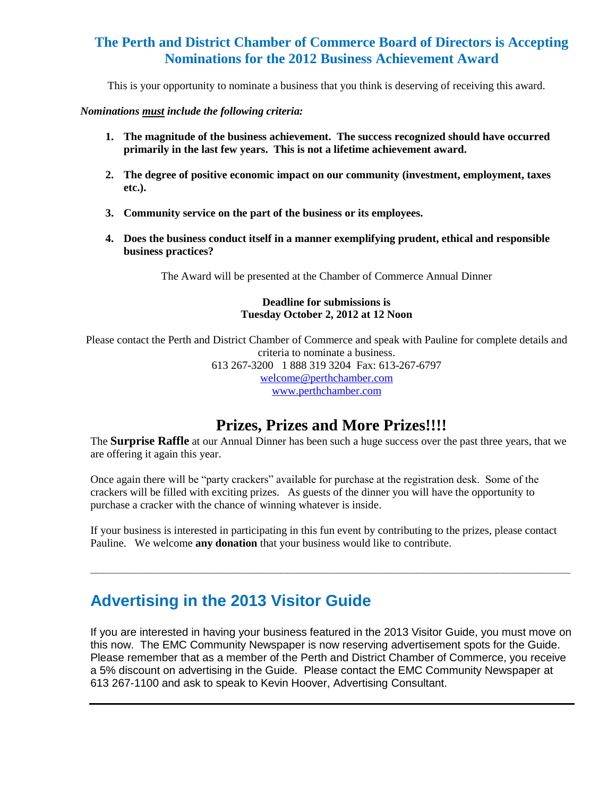#### **The Perth and District Chamber of Commerce Board of Directors is Accepting Nominations for the 2012 Business Achievement Award**

This is your opportunity to nominate a business that you think is deserving of receiving this award.

*Nominations must include the following criteria:*

- **1. The magnitude of the business achievement. The success recognized should have occurred primarily in the last few years. This is not a lifetime achievement award.**
- **2. The degree of positive economic impact on our community (investment, employment, taxes etc.).**
- **3. Community service on the part of the business or its employees.**
- **4. Does the business conduct itself in a manner exemplifying prudent, ethical and responsible business practices?**

The Award will be presented at the Chamber of Commerce Annual Dinner

#### **Deadline for submissions is Tuesday October 2, 2012 at 12 Noon**

Please contact the Perth and District Chamber of Commerce and speak with Pauline for complete details and criteria to nominate a business. 613 267-3200 1 888 319 3204 Fax: 613-267-6797 [welcome@perthchamber.com](mailto:welcome@perthchamber.com) 

[www.perthchamber.com](http://www.perthchamber.com/)

### **Prizes, Prizes and More Prizes!!!!**

The **Surprise Raffle** at our Annual Dinner has been such a huge success over the past three years, that we are offering it again this year.

Once again there will be "party crackers" available for purchase at the registration desk. Some of the crackers will be filled with exciting prizes. As guests of the dinner you will have the opportunity to purchase a cracker with the chance of winning whatever is inside.

If your business is interested in participating in this fun event by contributing to the prizes, please contact Pauline. We welcome **any donation** that your business would like to contribute.

**\_\_\_\_\_\_\_\_\_\_\_\_\_\_\_\_\_\_\_\_\_\_\_\_\_\_\_\_\_\_\_\_\_\_\_\_\_\_\_\_\_\_\_\_\_\_\_\_\_\_\_\_\_\_\_\_\_\_\_\_\_\_\_\_\_\_\_\_\_\_\_\_\_\_\_\_\_\_**

## **Advertising in the 2013 Visitor Guide**

If you are interested in having your business featured in the 2013 Visitor Guide, you must move on this now. The EMC Community Newspaper is now reserving advertisement spots for the Guide. Please remember that as a member of the Perth and District Chamber of Commerce, you receive a 5% discount on advertising in the Guide.Please contact the EMC Community Newspaper at 613 267-1100 and ask to speak to Kevin Hoover, Advertising Consultant.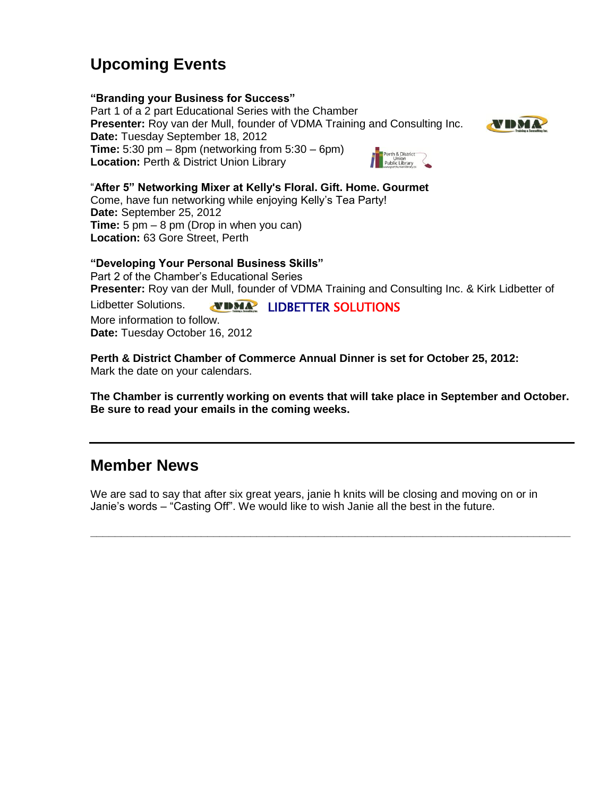## **Upcoming Events**

#### **"Branding your Business for Success"**

Part 1 of a 2 part Educational Series with the Chamber **Presenter:** Roy van der Mull, founder of VDMA Training and Consulting Inc. **Date:** Tuesday September 18, 2012 **Time:** 5:30 pm – 8pm (networking from 5:30 – 6pm) Perth & District<br>Union<br>Public Library **Location:** Perth & District Union Library



#### "**After 5" Networking Mixer at Kelly's Floral. Gift. Home. Gourmet**

Come, have fun networking while enjoying Kelly's Tea Party! **Date:** September 25, 2012 **Time:** 5 pm – 8 pm (Drop in when you can) **Location:** 63 Gore Street, Perth

#### **"Developing Your Personal Business Skills"**

Part 2 of the Chamber's Educational Series **Presenter:** Roy van der Mull, founder of VDMA Training and Consulting Inc. & Kirk Lidbetter of

Lidbetter Solutions. LIDBETTER SOLUTIONS Lidbetter Solutions. More information to follow. **Date:** Tuesday October 16, 2012

**Perth & District Chamber of Commerce Annual Dinner is set for October 25, 2012:** Mark the date on your calendars.

**The Chamber is currently working on events that will take place in September and October. Be sure to read your emails in the coming weeks.**

### **Member News**

We are sad to say that after six great years, janie h knits will be closing and moving on or in Janie's words – "Casting Off". We would like to wish Janie all the best in the future.

**\_\_\_\_\_\_\_\_\_\_\_\_\_\_\_\_\_\_\_\_\_\_\_\_\_\_\_\_\_\_\_\_\_\_\_\_\_\_\_\_\_\_\_\_\_\_\_\_\_\_\_\_\_\_\_\_\_\_\_\_\_\_\_\_\_\_\_\_\_\_\_\_\_\_\_\_\_\_**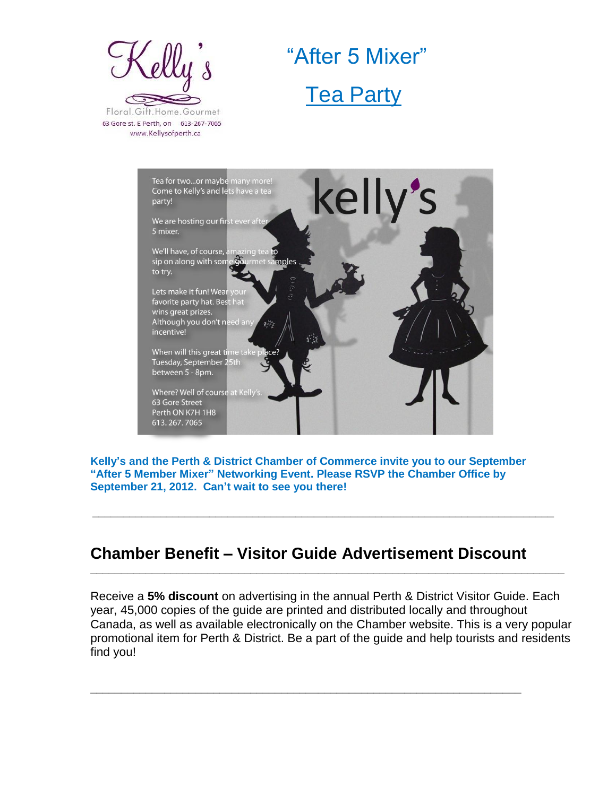

 "After 5 Mixer" **Tea Party** 



**Kelly's and the Perth & District Chamber of Commerce invite you to our September "After 5 Member Mixer" Networking Event. Please RSVP the Chamber Office by September 21, 2012. Can't wait to see you there!**

**\_\_\_\_\_\_\_\_\_\_\_\_\_\_\_\_\_\_\_\_\_\_\_\_\_\_\_\_\_\_\_\_\_\_\_\_\_\_\_\_\_\_\_\_\_\_\_\_\_\_\_\_\_\_\_\_\_\_\_\_\_\_\_\_\_\_\_\_\_\_\_\_\_\_\_**

**\_\_\_\_\_\_\_\_\_\_\_\_\_\_\_\_\_\_\_\_\_\_\_\_\_\_\_\_\_\_\_\_\_\_\_\_\_\_\_\_\_\_\_\_\_\_\_\_\_\_\_\_\_\_\_\_\_\_\_\_\_\_\_\_\_\_\_\_\_\_\_\_\_\_\_\_\_**

### **Chamber Benefit – Visitor Guide Advertisement Discount**

**\_\_\_\_\_\_\_\_\_\_\_\_\_\_\_\_\_\_\_\_\_\_\_\_\_\_\_\_\_\_\_\_\_\_\_\_\_\_\_\_\_\_\_\_\_\_\_\_\_\_\_\_\_\_\_\_\_\_\_\_\_\_\_\_\_\_\_\_\_\_**

Receive a **5% discount** on advertising in the annual Perth & District Visitor Guide. Each year, 45,000 copies of the guide are printed and distributed locally and throughout Canada, as well as available electronically on the Chamber website. This is a very popular promotional item for Perth & District. Be a part of the guide and help tourists and residents find you!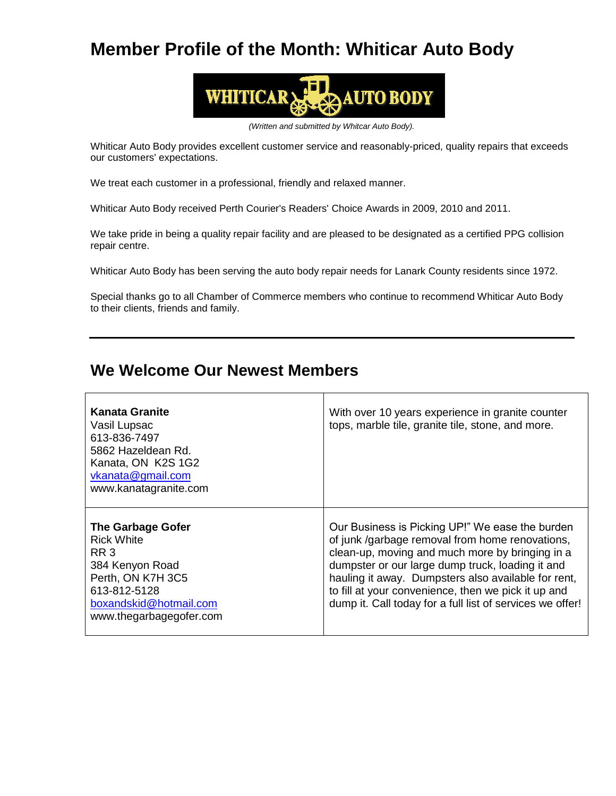## **Member Profile of the Month: Whiticar Auto Body**



*(Written and submitted by Whitcar Auto Body).*

Whiticar Auto Body provides excellent customer service and reasonably-priced, quality repairs that exceeds our customers' expectations.

We treat each customer in a professional, friendly and relaxed manner.

Whiticar Auto Body received Perth Courier's Readers' Choice Awards in 2009, 2010 and 2011.

We take pride in being a quality repair facility and are pleased to be designated as a certified PPG collision repair centre.

Whiticar Auto Body has been serving the auto body repair needs for Lanark County residents since 1972.

Special thanks go to all Chamber of Commerce members who continue to recommend Whiticar Auto Body to their clients, friends and family.

### **We Welcome Our Newest Members**

| <b>Kanata Granite</b><br>Vasil Lupsac<br>613-836-7497<br>5862 Hazeldean Rd.<br>Kanata, ON K2S 1G2<br>vkanata@gmail.com<br>www.kanatagranite.com                        | With over 10 years experience in granite counter<br>tops, marble tile, granite tile, stone, and more.                                                                                                                                                                                                                                                                                |
|------------------------------------------------------------------------------------------------------------------------------------------------------------------------|--------------------------------------------------------------------------------------------------------------------------------------------------------------------------------------------------------------------------------------------------------------------------------------------------------------------------------------------------------------------------------------|
| <b>The Garbage Gofer</b><br>Rick White<br>RR <sub>3</sub><br>384 Kenyon Road<br>Perth, ON K7H 3C5<br>613-812-5128<br>boxandskid@hotmail.com<br>www.thegarbagegofer.com | Our Business is Picking UP!" We ease the burden<br>of junk /garbage removal from home renovations,<br>clean-up, moving and much more by bringing in a<br>dumpster or our large dump truck, loading it and<br>hauling it away. Dumpsters also available for rent,<br>to fill at your convenience, then we pick it up and<br>dump it. Call today for a full list of services we offer! |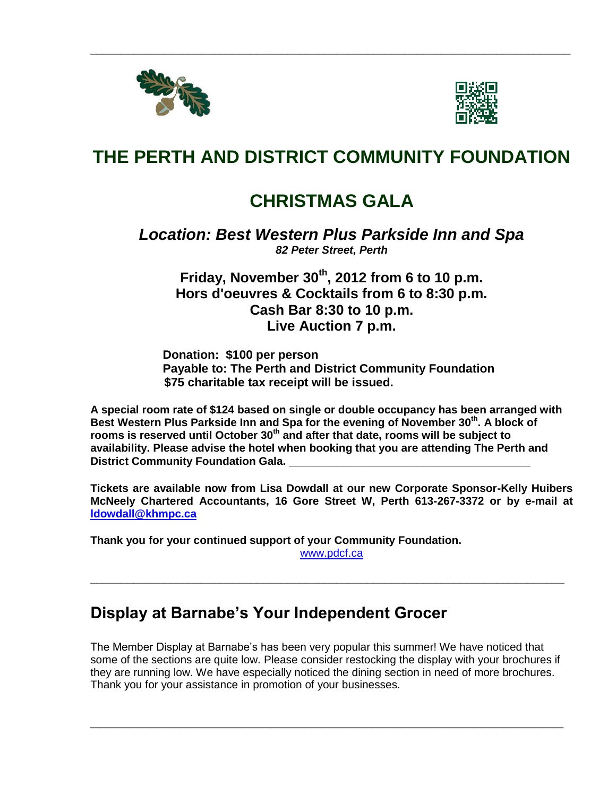



## **THE PERTH AND DISTRICT COMMUNITY FOUNDATION**

**\_\_\_\_\_\_\_\_\_\_\_\_\_\_\_\_\_\_\_\_\_\_\_\_\_\_\_\_\_\_\_\_\_\_\_\_\_\_\_\_\_\_\_\_\_\_\_\_\_\_\_\_\_\_\_\_\_\_\_\_\_\_\_\_\_\_\_\_\_\_\_\_\_\_\_\_\_\_**

## **CHRISTMAS GALA**

#### *Location: Best Western Plus Parkside Inn and Spa 82 Peter Street, Perth*

### **Friday, November 30th, 2012 from 6 to 10 p.m. Hors d'oeuvres & Cocktails from 6 to 8:30 p.m. Cash Bar 8:30 to 10 p.m. Live Auction 7 p.m.**

**Donation: \$100 per person Payable to: The Perth and District Community Foundation \$75 charitable tax receipt will be issued.**

**A special room rate of \$124 based on single or double occupancy has been arranged with Best Western Plus Parkside Inn and Spa for the evening of November 30th. A block of rooms is reserved until October 30th and after that date, rooms will be subject to availability. Please advise the hotel when booking that you are attending The Perth and District Community Foundation Gala.** 

**Tickets are available now from Lisa Dowdall at our new Corporate Sponsor-Kelly Huibers McNeely Chartered Accountants, 16 Gore Street W, Perth 613-267-3372 or by e-mail at [ldowdall@khmpc.ca](mailto:ldowdall@khmpc.ca)**

**Thank you for your continued support of your Community Foundation.** 

[www.pdcf.ca](http://www.pdcf.ca/)

**\_\_\_\_\_\_\_\_\_\_\_\_\_\_\_\_\_\_\_\_\_\_\_\_\_\_\_\_\_\_\_\_\_\_\_\_\_\_\_\_\_\_\_\_\_\_\_\_\_\_\_\_\_\_\_\_\_\_\_\_\_\_\_\_\_\_\_\_\_\_\_\_\_\_\_\_\_**

## **Display at Barnabe's Your Independent Grocer**

The Member Display at Barnabe's has been very popular this summer! We have noticed that some of the sections are quite low. Please consider restocking the display with your brochures if they are running low. We have especially noticed the dining section in need of more brochures. Thank you for your assistance in promotion of your businesses.

**\_\_\_\_\_\_\_\_\_\_\_\_\_\_\_\_\_\_\_\_\_\_\_\_\_\_\_\_\_\_\_\_\_\_\_\_\_\_\_\_\_\_\_\_\_\_\_**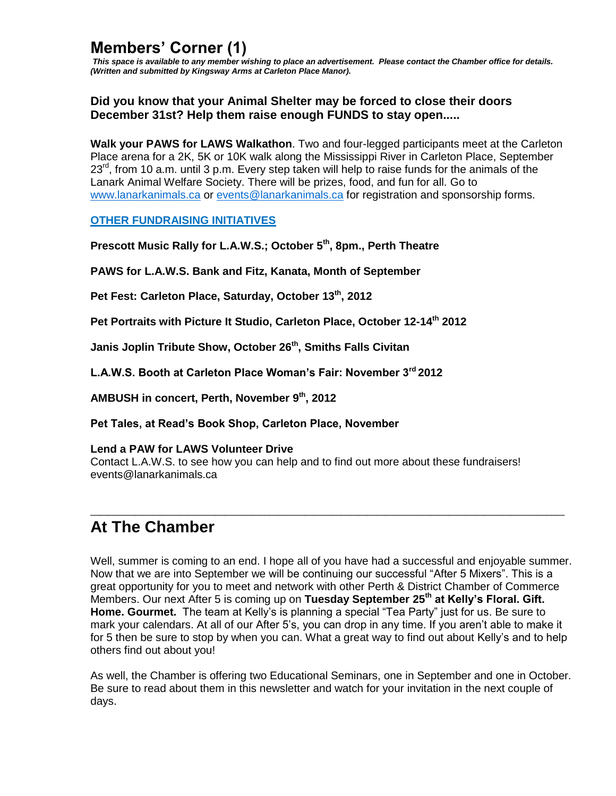## **Members' Corner (1)**

*This space is available to any member wishing to place an advertisement. Please contact the Chamber office for details. (Written and submitted by Kingsway Arms at Carleton Place Manor).*

#### **Did you know that your Animal Shelter may be forced to close their doors December 31st? Help them raise enough FUNDS to stay open.....**

**Walk your PAWS for LAWS Walkathon**. Two and four-legged participants meet at the Carleton Place arena for a 2K, 5K or 10K walk along the Mississippi River in Carleton Place, September  $23<sup>rd</sup>$ , from 10 a.m. until 3 p.m. Every step taken will help to raise funds for the animals of the Lanark Animal Welfare Society. There will be prizes, food, and fun for all. Go to [www.lanarkanimals.ca](http://www.lanarkanimals.ca/) or [events@lanarkanimals.ca](mailto:events@lanarkanimals.ca) for registration and sponsorship forms.

#### **OTHER FUNDRAISING INITIATIVES**

**Prescott Music Rally for L.A.W.S.; October 5th, 8pm., Perth Theatre**

**PAWS for L.A.W.S. Bank and Fitz, Kanata, Month of September**

**Pet Fest: Carleton Place, Saturday, October 13th, 2012**

**Pet Portraits with Picture It Studio, Carleton Place, October 12-14th 2012**

**Janis Joplin Tribute Show, October 26th, Smiths Falls Civitan**

**L.A.W.S. Booth at Carleton Place Woman's Fair: November 3rd 2012**

**AMBUSH in concert, Perth, November 9th, 2012**

**Pet Tales, at Read's Book Shop, Carleton Place, November**

#### **Lend a PAW for LAWS Volunteer Drive**

Contact L.A.W.S. to see how you can help and to find out more about these fundraisers! events@lanarkanimals.ca

### **At The Chamber**

Well, summer is coming to an end. I hope all of you have had a successful and enjoyable summer. Now that we are into September we will be continuing our successful "After 5 Mixers". This is a great opportunity for you to meet and network with other Perth & District Chamber of Commerce Members. Our next After 5 is coming up on **Tuesday September 25th at Kelly's Floral. Gift. Home. Gourmet.** The team at Kelly's is planning a special "Tea Party" just for us. Be sure to mark your calendars. At all of our After 5's, you can drop in any time. If you aren't able to make it for 5 then be sure to stop by when you can. What a great way to find out about Kelly's and to help others find out about you!

**\_\_\_\_\_\_\_\_\_\_\_\_\_\_\_\_\_\_\_\_\_\_\_\_\_\_\_\_\_\_\_\_\_\_\_\_\_\_\_\_\_\_\_\_\_\_\_\_\_\_\_\_\_**

As well, the Chamber is offering two Educational Seminars, one in September and one in October. Be sure to read about them in this newsletter and watch for your invitation in the next couple of days.